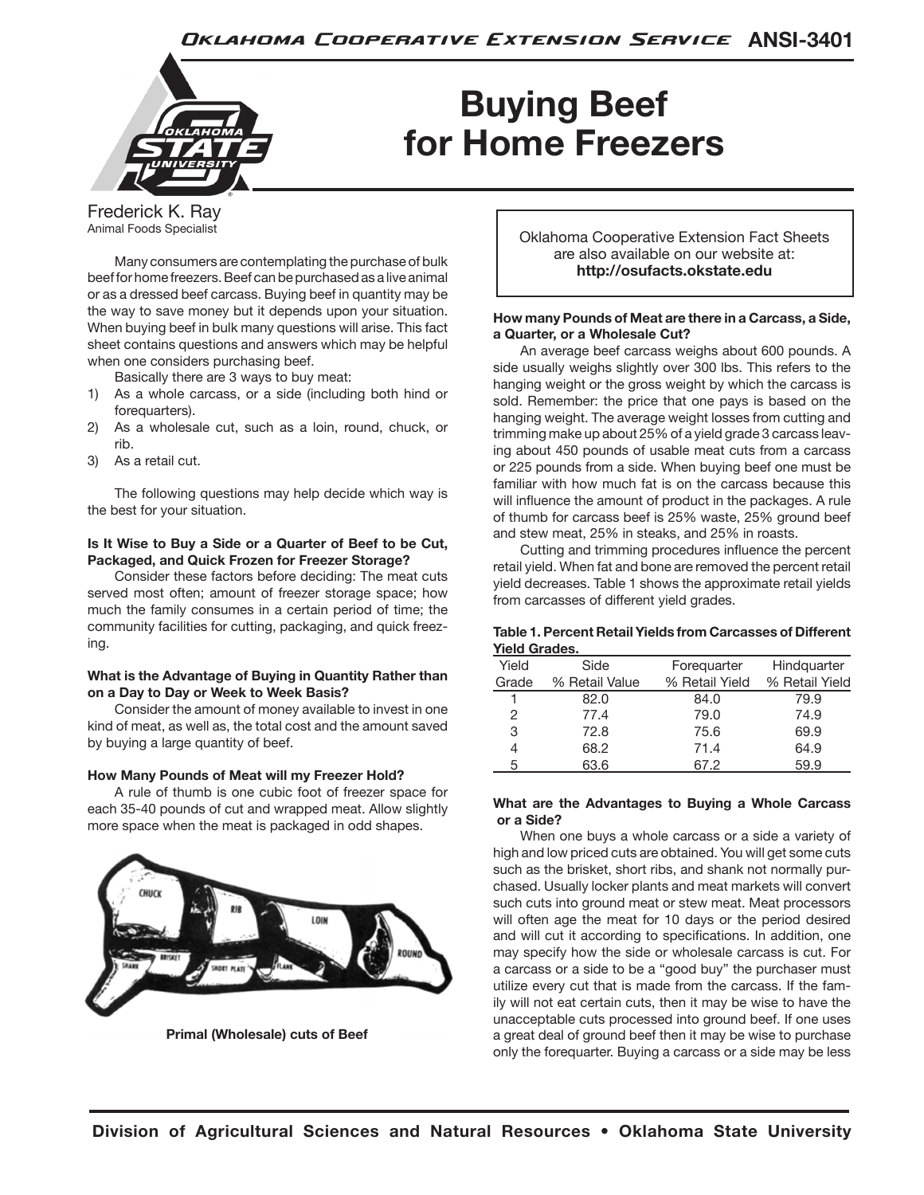

# **Buying Beef for Home Freezers**

Frederick K. Ray Animal Foods Specialist

Many consumers are contemplating the purchase of bulk beef for home freezers. Beef can be purchased as a live animal or as a dressed beef carcass. Buying beef in quantity may be the way to save money but it depends upon your situation. When buying beef in bulk many questions will arise. This fact sheet contains questions and answers which may be helpful when one considers purchasing beef.

Basically there are 3 ways to buy meat:

- 1) As a whole carcass, or a side (including both hind or forequarters).
- 2) As a wholesale cut, such as a loin, round, chuck, or rib.
- 3) As a retail cut.

The following questions may help decide which way is the best for your situation.

# **Is It Wise to Buy a Side or a Quarter of Beef to be Cut, Packaged, and Quick Frozen for Freezer Storage?**

Consider these factors before deciding: The meat cuts served most often; amount of freezer storage space; how much the family consumes in a certain period of time; the community facilities for cutting, packaging, and quick freezing.

# **What is the Advantage of Buying in Quantity Rather than on a Day to Day or Week to Week Basis?**

Consider the amount of money available to invest in one kind of meat, as well as, the total cost and the amount saved by buying a large quantity of beef.

# **How Many Pounds of Meat will my Freezer Hold?**

A rule of thumb is one cubic foot of freezer space for each 35-40 pounds of cut and wrapped meat. Allow slightly more space when the meat is packaged in odd shapes.



**Primal (Wholesale) cuts of Beef**

Oklahoma Cooperative Extension Fact Sheets are also available on our website at: **http://osufacts.okstate.edu**

# **How many Pounds of Meat are there in a Carcass, a Side, a Quarter, or a Wholesale Cut?**

An average beef carcass weighs about 600 pounds. A side usually weighs slightly over 300 lbs. This refers to the hanging weight or the gross weight by which the carcass is sold. Remember: the price that one pays is based on the hanging weight. The average weight losses from cutting and trimming make up about 25% of a yield grade 3 carcass leaving about 450 pounds of usable meat cuts from a carcass or 225 pounds from a side. When buying beef one must be familiar with how much fat is on the carcass because this will influence the amount of product in the packages. A rule of thumb for carcass beef is 25% waste, 25% ground beef and stew meat, 25% in steaks, and 25% in roasts.

Cutting and trimming procedures influence the percent retail yield. When fat and bone are removed the percent retail yield decreases. Table 1 shows the approximate retail yields from carcasses of different yield grades.

## **Table 1. Percent Retail Yields from Carcasses of Different Yield Grades.**

| Yield | Side           | Forequarter    | Hindquarter    |
|-------|----------------|----------------|----------------|
| Grade | % Retail Value | % Retail Yield | % Retail Yield |
| 1     | 82.0           | 84.0           | 79.9           |
| 2     | 77.4           | 79.0           | 74.9           |
| 3     | 72.8           | 75.6           | 69.9           |
| 4     | 68.2           | 71.4           | 64.9           |
| 5     | 63.6           | 67.2           | 59.9           |

# **What are the Advantages to Buying a Whole Carcass or a Side?**

When one buys a whole carcass or a side a variety of high and low priced cuts are obtained. You will get some cuts such as the brisket, short ribs, and shank not normally purchased. Usually locker plants and meat markets will convert such cuts into ground meat or stew meat. Meat processors will often age the meat for 10 days or the period desired and will cut it according to specifications. In addition, one may specify how the side or wholesale carcass is cut. For a carcass or a side to be a "good buy" the purchaser must utilize every cut that is made from the carcass. If the family will not eat certain cuts, then it may be wise to have the unacceptable cuts processed into ground beef. If one uses a great deal of ground beef then it may be wise to purchase only the forequarter. Buying a carcass or a side may be less